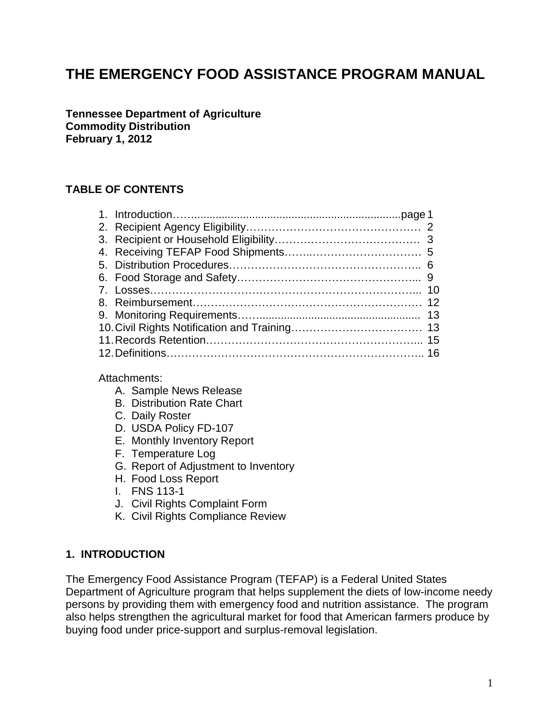# **THE EMERGENCY FOOD ASSISTANCE PROGRAM MANUAL**

**Tennessee Department of Agriculture Commodity Distribution February 1, 2012**

### **TABLE OF CONTENTS**

Attachments:

- A. Sample News Release
- B. Distribution Rate Chart
- C. Daily Roster
- D. USDA Policy FD-107
- E. Monthly Inventory Report
- F. Temperature Log
- G. Report of Adjustment to Inventory
- H. Food Loss Report
- I. FNS 113-1
- J. Civil Rights Complaint Form
- K. Civil Rights Compliance Review

#### **1. INTRODUCTION**

The Emergency Food Assistance Program (TEFAP) is a Federal United States Department of Agriculture program that helps supplement the diets of low-income needy persons by providing them with emergency food and nutrition assistance. The program also helps strengthen the agricultural market for food that American farmers produce by buying food under price-support and surplus-removal legislation.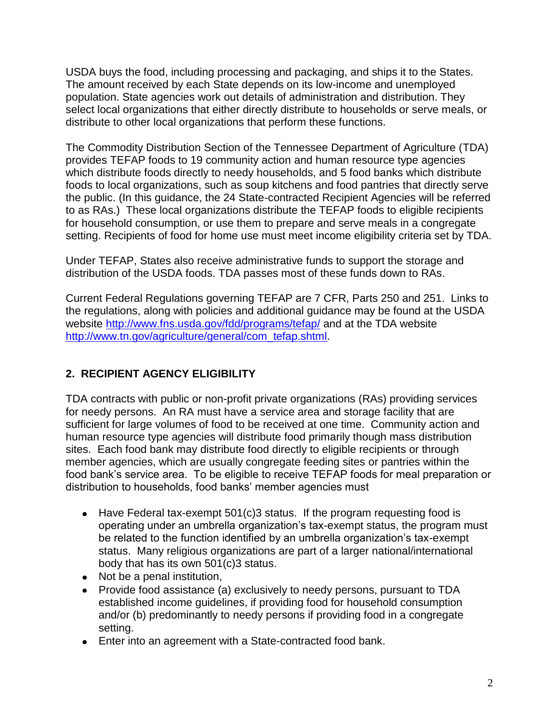USDA buys the food, including processing and packaging, and ships it to the States. The amount received by each State depends on its low-income and unemployed population. State agencies work out details of administration and distribution. They select local organizations that either directly distribute to households or serve meals, or distribute to other local organizations that perform these functions.

The Commodity Distribution Section of the Tennessee Department of Agriculture (TDA) provides TEFAP foods to 19 community action and human resource type agencies which distribute foods directly to needy households, and 5 food banks which distribute foods to local organizations, such as soup kitchens and food pantries that directly serve the public. (In this guidance, the 24 State-contracted Recipient Agencies will be referred to as RAs.) These local organizations distribute the TEFAP foods to eligible recipients for household consumption, or use them to prepare and serve meals in a congregate setting. Recipients of food for home use must meet income eligibility criteria set by TDA.

Under TEFAP, States also receive administrative funds to support the storage and distribution of the USDA foods. TDA passes most of these funds down to RAs.

Current Federal Regulations governing TEFAP are 7 CFR, Parts 250 and 251. Links to the regulations, along with policies and additional guidance may be found at the USDA website<http://www.fns.usda.gov/fdd/programs/tefap/> and at the TDA website [http://www.tn.gov/agriculture/general/com\\_tefap.shtml.](http://www.tn.gov/agriculture/general/com_tefap.shtml)

# **2. RECIPIENT AGENCY ELIGIBILITY**

TDA contracts with public or non-profit private organizations (RAs) providing services for needy persons. An RA must have a service area and storage facility that are sufficient for large volumes of food to be received at one time. Community action and human resource type agencies will distribute food primarily though mass distribution sites. Each food bank may distribute food directly to eligible recipients or through member agencies, which are usually congregate feeding sites or pantries within the food bank's service area. To be eligible to receive TEFAP foods for meal preparation or distribution to households, food banks' member agencies must

- $\bullet$  Have Federal tax-exempt 501(c)3 status. If the program requesting food is operating under an umbrella organization's tax-exempt status, the program must be related to the function identified by an umbrella organization's tax-exempt status. Many religious organizations are part of a larger national/international body that has its own 501(c)3 status.
- Not be a penal institution,
- Provide food assistance (a) exclusively to needy persons, pursuant to TDA established income guidelines, if providing food for household consumption and/or (b) predominantly to needy persons if providing food in a congregate setting.
- Enter into an agreement with a State-contracted food bank.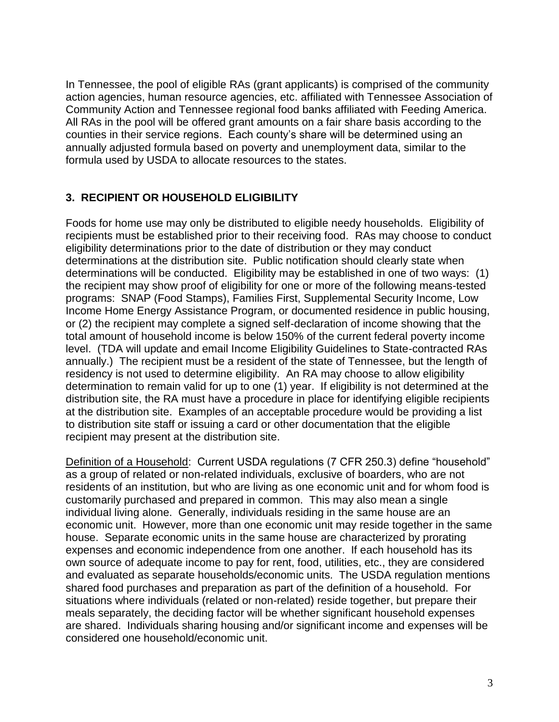In Tennessee, the pool of eligible RAs (grant applicants) is comprised of the community action agencies, human resource agencies, etc. affiliated with Tennessee Association of Community Action and Tennessee regional food banks affiliated with Feeding America. All RAs in the pool will be offered grant amounts on a fair share basis according to the counties in their service regions. Each county's share will be determined using an annually adjusted formula based on poverty and unemployment data, similar to the formula used by USDA to allocate resources to the states.

### **3. RECIPIENT OR HOUSEHOLD ELIGIBILITY**

Foods for home use may only be distributed to eligible needy households. Eligibility of recipients must be established prior to their receiving food. RAs may choose to conduct eligibility determinations prior to the date of distribution or they may conduct determinations at the distribution site. Public notification should clearly state when determinations will be conducted. Eligibility may be established in one of two ways: (1) the recipient may show proof of eligibility for one or more of the following means-tested programs: SNAP (Food Stamps), Families First, Supplemental Security Income, Low Income Home Energy Assistance Program, or documented residence in public housing, or (2) the recipient may complete a signed self-declaration of income showing that the total amount of household income is below 150% of the current federal poverty income level. (TDA will update and email Income Eligibility Guidelines to State-contracted RAs annually.) The recipient must be a resident of the state of Tennessee, but the length of residency is not used to determine eligibility. An RA may choose to allow eligibility determination to remain valid for up to one (1) year. If eligibility is not determined at the distribution site, the RA must have a procedure in place for identifying eligible recipients at the distribution site. Examples of an acceptable procedure would be providing a list to distribution site staff or issuing a card or other documentation that the eligible recipient may present at the distribution site.

Definition of a Household: Current USDA regulations (7 CFR 250.3) define "household" as a group of related or non-related individuals, exclusive of boarders, who are not residents of an institution, but who are living as one economic unit and for whom food is customarily purchased and prepared in common. This may also mean a single individual living alone. Generally, individuals residing in the same house are an economic unit. However, more than one economic unit may reside together in the same house. Separate economic units in the same house are characterized by prorating expenses and economic independence from one another. If each household has its own source of adequate income to pay for rent, food, utilities, etc., they are considered and evaluated as separate households/economic units. The USDA regulation mentions shared food purchases and preparation as part of the definition of a household. For situations where individuals (related or non-related) reside together, but prepare their meals separately, the deciding factor will be whether significant household expenses are shared. Individuals sharing housing and/or significant income and expenses will be considered one household/economic unit.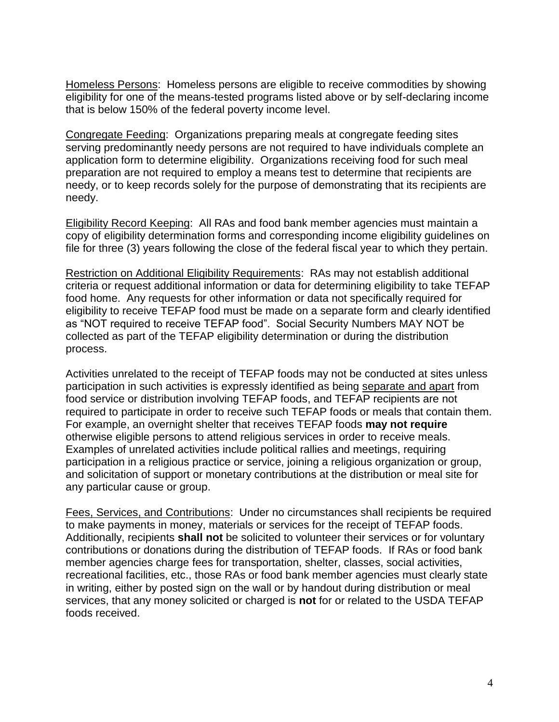Homeless Persons: Homeless persons are eligible to receive commodities by showing eligibility for one of the means-tested programs listed above or by self-declaring income that is below 150% of the federal poverty income level.

Congregate Feeding: Organizations preparing meals at congregate feeding sites serving predominantly needy persons are not required to have individuals complete an application form to determine eligibility. Organizations receiving food for such meal preparation are not required to employ a means test to determine that recipients are needy, or to keep records solely for the purpose of demonstrating that its recipients are needy.

Eligibility Record Keeping: All RAs and food bank member agencies must maintain a copy of eligibility determination forms and corresponding income eligibility guidelines on file for three (3) years following the close of the federal fiscal year to which they pertain.

Restriction on Additional Eligibility Requirements: RAs may not establish additional criteria or request additional information or data for determining eligibility to take TEFAP food home. Any requests for other information or data not specifically required for eligibility to receive TEFAP food must be made on a separate form and clearly identified as "NOT required to receive TEFAP food". Social Security Numbers MAY NOT be collected as part of the TEFAP eligibility determination or during the distribution process.

Activities unrelated to the receipt of TEFAP foods may not be conducted at sites unless participation in such activities is expressly identified as being separate and apart from food service or distribution involving TEFAP foods, and TEFAP recipients are not required to participate in order to receive such TEFAP foods or meals that contain them. For example, an overnight shelter that receives TEFAP foods **may not require** otherwise eligible persons to attend religious services in order to receive meals. Examples of unrelated activities include political rallies and meetings, requiring participation in a religious practice or service, joining a religious organization or group, and solicitation of support or monetary contributions at the distribution or meal site for any particular cause or group.

Fees, Services, and Contributions: Under no circumstances shall recipients be required to make payments in money, materials or services for the receipt of TEFAP foods. Additionally, recipients **shall not** be solicited to volunteer their services or for voluntary contributions or donations during the distribution of TEFAP foods. If RAs or food bank member agencies charge fees for transportation, shelter, classes, social activities, recreational facilities, etc., those RAs or food bank member agencies must clearly state in writing, either by posted sign on the wall or by handout during distribution or meal services, that any money solicited or charged is **not** for or related to the USDA TEFAP foods received.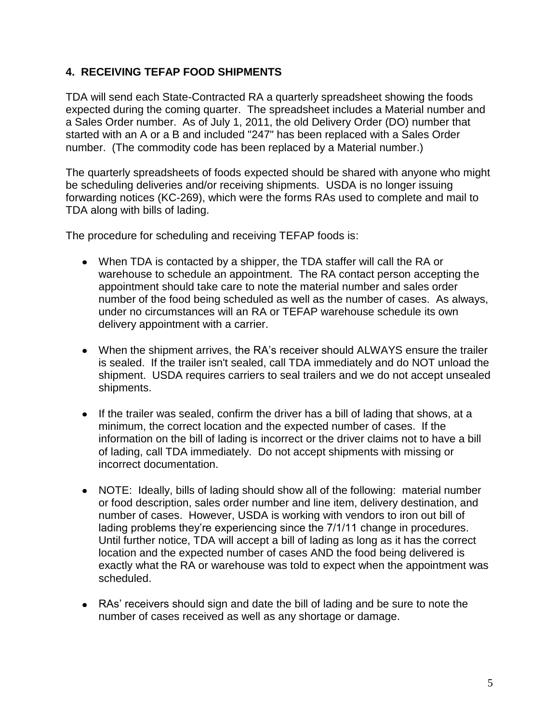### **4. RECEIVING TEFAP FOOD SHIPMENTS**

TDA will send each State-Contracted RA a quarterly spreadsheet showing the foods expected during the coming quarter. The spreadsheet includes a Material number and a Sales Order number. As of July 1, 2011, the old Delivery Order (DO) number that started with an A or a B and included "247" has been replaced with a Sales Order number. (The commodity code has been replaced by a Material number.)

The quarterly spreadsheets of foods expected should be shared with anyone who might be scheduling deliveries and/or receiving shipments. USDA is no longer issuing forwarding notices (KC-269), which were the forms RAs used to complete and mail to TDA along with bills of lading.

The procedure for scheduling and receiving TEFAP foods is:

- When TDA is contacted by a shipper, the TDA staffer will call the RA or warehouse to schedule an appointment. The RA contact person accepting the appointment should take care to note the material number and sales order number of the food being scheduled as well as the number of cases. As always, under no circumstances will an RA or TEFAP warehouse schedule its own delivery appointment with a carrier.
- When the shipment arrives, the RA's receiver should ALWAYS ensure the trailer is sealed. If the trailer isn't sealed, call TDA immediately and do NOT unload the shipment. USDA requires carriers to seal trailers and we do not accept unsealed shipments.
- If the trailer was sealed, confirm the driver has a bill of lading that shows, at a minimum, the correct location and the expected number of cases. If the information on the bill of lading is incorrect or the driver claims not to have a bill of lading, call TDA immediately. Do not accept shipments with missing or incorrect documentation.
- NOTE: Ideally, bills of lading should show all of the following: material number or food description, sales order number and line item, delivery destination, and number of cases. However, USDA is working with vendors to iron out bill of lading problems they're experiencing since the 7/1/11 change in procedures. Until further notice, TDA will accept a bill of lading as long as it has the correct location and the expected number of cases AND the food being delivered is exactly what the RA or warehouse was told to expect when the appointment was scheduled.
- RAs' receivers should sign and date the bill of lading and be sure to note the number of cases received as well as any shortage or damage.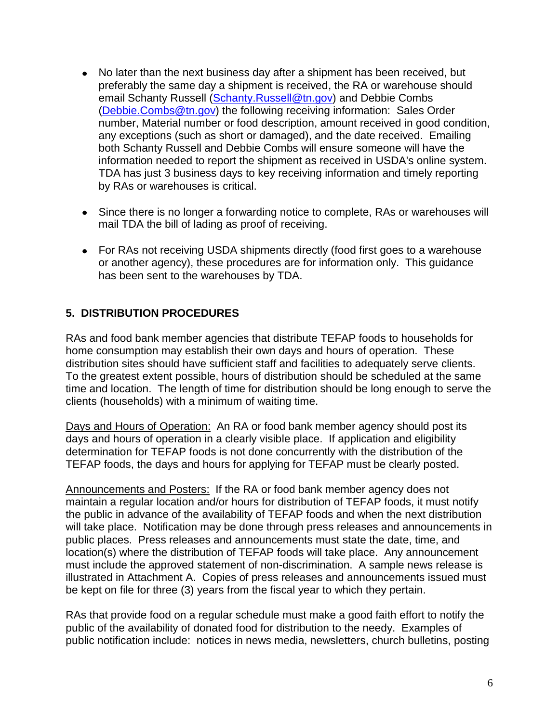- No later than the next business day after a shipment has been received, but preferably the same day a shipment is received, the RA or warehouse should email Schanty Russell [\(Schanty.Russell@tn.gov\)](mailto:Schanty.Russell@tn.gov) and Debbie Combs [\(Debbie.Combs@tn.gov\)](mailto:Debbie.Combs@tn.gov) the following receiving information: Sales Order number, Material number or food description, amount received in good condition, any exceptions (such as short or damaged), and the date received. Emailing both Schanty Russell and Debbie Combs will ensure someone will have the information needed to report the shipment as received in USDA's online system. TDA has just 3 business days to key receiving information and timely reporting by RAs or warehouses is critical.
- Since there is no longer a forwarding notice to complete, RAs or warehouses will mail TDA the bill of lading as proof of receiving.
- For RAs not receiving USDA shipments directly (food first goes to a warehouse or another agency), these procedures are for information only. This guidance has been sent to the warehouses by TDA.

### **5. DISTRIBUTION PROCEDURES**

RAs and food bank member agencies that distribute TEFAP foods to households for home consumption may establish their own days and hours of operation. These distribution sites should have sufficient staff and facilities to adequately serve clients. To the greatest extent possible, hours of distribution should be scheduled at the same time and location. The length of time for distribution should be long enough to serve the clients (households) with a minimum of waiting time.

Days and Hours of Operation: An RA or food bank member agency should post its days and hours of operation in a clearly visible place. If application and eligibility determination for TEFAP foods is not done concurrently with the distribution of the TEFAP foods, the days and hours for applying for TEFAP must be clearly posted.

Announcements and Posters: If the RA or food bank member agency does not maintain a regular location and/or hours for distribution of TEFAP foods, it must notify the public in advance of the availability of TEFAP foods and when the next distribution will take place. Notification may be done through press releases and announcements in public places. Press releases and announcements must state the date, time, and location(s) where the distribution of TEFAP foods will take place. Any announcement must include the approved statement of non-discrimination. A sample news release is illustrated in Attachment A. Copies of press releases and announcements issued must be kept on file for three (3) years from the fiscal year to which they pertain.

RAs that provide food on a regular schedule must make a good faith effort to notify the public of the availability of donated food for distribution to the needy. Examples of public notification include: notices in news media, newsletters, church bulletins, posting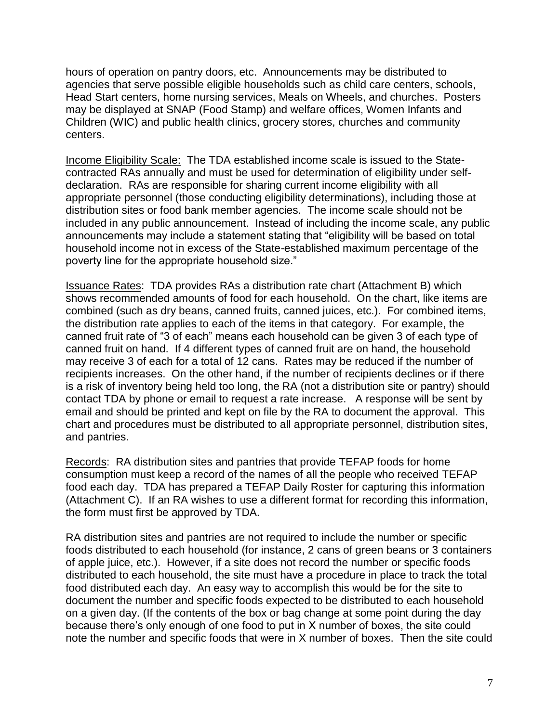hours of operation on pantry doors, etc. Announcements may be distributed to agencies that serve possible eligible households such as child care centers, schools, Head Start centers, home nursing services, Meals on Wheels, and churches. Posters may be displayed at SNAP (Food Stamp) and welfare offices, Women Infants and Children (WIC) and public health clinics, grocery stores, churches and community centers.

Income Eligibility Scale: The TDA established income scale is issued to the Statecontracted RAs annually and must be used for determination of eligibility under selfdeclaration. RAs are responsible for sharing current income eligibility with all appropriate personnel (those conducting eligibility determinations), including those at distribution sites or food bank member agencies. The income scale should not be included in any public announcement. Instead of including the income scale, any public announcements may include a statement stating that "eligibility will be based on total household income not in excess of the State-established maximum percentage of the poverty line for the appropriate household size."

Issuance Rates: TDA provides RAs a distribution rate chart (Attachment B) which shows recommended amounts of food for each household. On the chart, like items are combined (such as dry beans, canned fruits, canned juices, etc.). For combined items, the distribution rate applies to each of the items in that category. For example, the canned fruit rate of "3 of each" means each household can be given 3 of each type of canned fruit on hand. If 4 different types of canned fruit are on hand, the household may receive 3 of each for a total of 12 cans. Rates may be reduced if the number of recipients increases. On the other hand, if the number of recipients declines or if there is a risk of inventory being held too long, the RA (not a distribution site or pantry) should contact TDA by phone or email to request a rate increase. A response will be sent by email and should be printed and kept on file by the RA to document the approval. This chart and procedures must be distributed to all appropriate personnel, distribution sites, and pantries.

Records: RA distribution sites and pantries that provide TEFAP foods for home consumption must keep a record of the names of all the people who received TEFAP food each day. TDA has prepared a TEFAP Daily Roster for capturing this information (Attachment C). If an RA wishes to use a different format for recording this information, the form must first be approved by TDA.

RA distribution sites and pantries are not required to include the number or specific foods distributed to each household (for instance, 2 cans of green beans or 3 containers of apple juice, etc.). However, if a site does not record the number or specific foods distributed to each household, the site must have a procedure in place to track the total food distributed each day. An easy way to accomplish this would be for the site to document the number and specific foods expected to be distributed to each household on a given day. (If the contents of the box or bag change at some point during the day because there's only enough of one food to put in X number of boxes, the site could note the number and specific foods that were in X number of boxes. Then the site could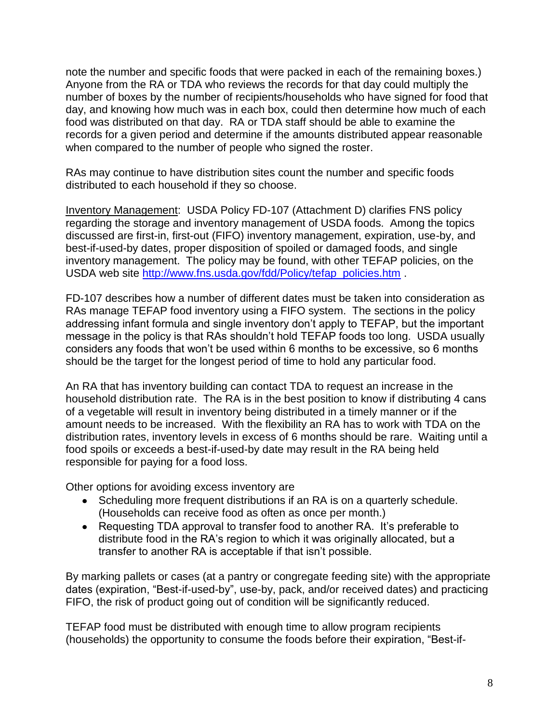note the number and specific foods that were packed in each of the remaining boxes.) Anyone from the RA or TDA who reviews the records for that day could multiply the number of boxes by the number of recipients/households who have signed for food that day, and knowing how much was in each box, could then determine how much of each food was distributed on that day. RA or TDA staff should be able to examine the records for a given period and determine if the amounts distributed appear reasonable when compared to the number of people who signed the roster.

RAs may continue to have distribution sites count the number and specific foods distributed to each household if they so choose.

Inventory Management: USDA Policy FD-107 (Attachment D) clarifies FNS policy regarding the storage and inventory management of USDA foods. Among the topics discussed are first-in, first-out (FIFO) inventory management, expiration, use-by, and best-if-used-by dates, proper disposition of spoiled or damaged foods, and single inventory management. The policy may be found, with other TEFAP policies, on the USDA web site [http://www.fns.usda.gov/fdd/Policy/tefap\\_policies.htm](http://www.fns.usda.gov/fdd/Policy/tefap_policies.htm) .

FD-107 describes how a number of different dates must be taken into consideration as RAs manage TEFAP food inventory using a FIFO system. The sections in the policy addressing infant formula and single inventory don't apply to TEFAP, but the important message in the policy is that RAs shouldn't hold TEFAP foods too long. USDA usually considers any foods that won't be used within 6 months to be excessive, so 6 months should be the target for the longest period of time to hold any particular food.

An RA that has inventory building can contact TDA to request an increase in the household distribution rate. The RA is in the best position to know if distributing 4 cans of a vegetable will result in inventory being distributed in a timely manner or if the amount needs to be increased. With the flexibility an RA has to work with TDA on the distribution rates, inventory levels in excess of 6 months should be rare. Waiting until a food spoils or exceeds a best-if-used-by date may result in the RA being held responsible for paying for a food loss.

Other options for avoiding excess inventory are

- Scheduling more frequent distributions if an RA is on a quarterly schedule. (Households can receive food as often as once per month.)
- Requesting TDA approval to transfer food to another RA. It's preferable to distribute food in the RA's region to which it was originally allocated, but a transfer to another RA is acceptable if that isn't possible.

By marking pallets or cases (at a pantry or congregate feeding site) with the appropriate dates (expiration, "Best-if-used-by", use-by, pack, and/or received dates) and practicing FIFO, the risk of product going out of condition will be significantly reduced.

TEFAP food must be distributed with enough time to allow program recipients (households) the opportunity to consume the foods before their expiration, "Best-if-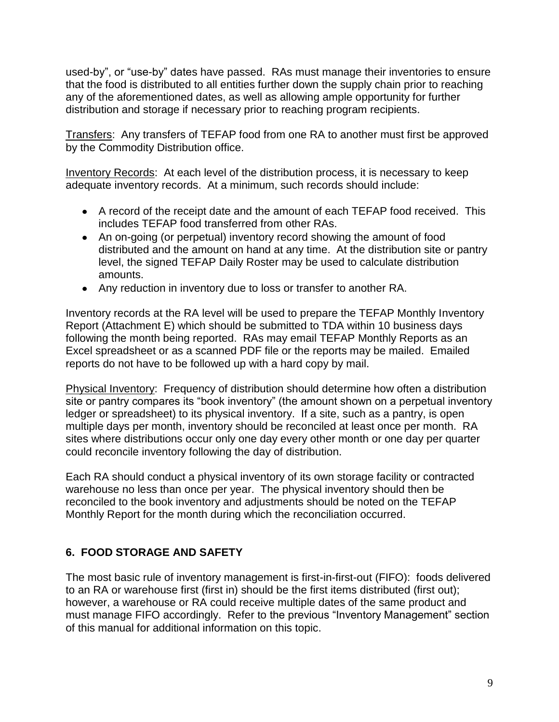used-by", or "use-by" dates have passed. RAs must manage their inventories to ensure that the food is distributed to all entities further down the supply chain prior to reaching any of the aforementioned dates, as well as allowing ample opportunity for further distribution and storage if necessary prior to reaching program recipients.

Transfers: Any transfers of TEFAP food from one RA to another must first be approved by the Commodity Distribution office.

Inventory Records: At each level of the distribution process, it is necessary to keep adequate inventory records. At a minimum, such records should include:

- A record of the receipt date and the amount of each TEFAP food received. This includes TEFAP food transferred from other RAs.
- An on-going (or perpetual) inventory record showing the amount of food distributed and the amount on hand at any time. At the distribution site or pantry level, the signed TEFAP Daily Roster may be used to calculate distribution amounts.
- Any reduction in inventory due to loss or transfer to another RA.

Inventory records at the RA level will be used to prepare the TEFAP Monthly Inventory Report (Attachment E) which should be submitted to TDA within 10 business days following the month being reported. RAs may email TEFAP Monthly Reports as an Excel spreadsheet or as a scanned PDF file or the reports may be mailed. Emailed reports do not have to be followed up with a hard copy by mail.

Physical Inventory: Frequency of distribution should determine how often a distribution site or pantry compares its "book inventory" (the amount shown on a perpetual inventory ledger or spreadsheet) to its physical inventory. If a site, such as a pantry, is open multiple days per month, inventory should be reconciled at least once per month. RA sites where distributions occur only one day every other month or one day per quarter could reconcile inventory following the day of distribution.

Each RA should conduct a physical inventory of its own storage facility or contracted warehouse no less than once per year. The physical inventory should then be reconciled to the book inventory and adjustments should be noted on the TEFAP Monthly Report for the month during which the reconciliation occurred.

# **6. FOOD STORAGE AND SAFETY**

The most basic rule of inventory management is first-in-first-out (FIFO): foods delivered to an RA or warehouse first (first in) should be the first items distributed (first out); however, a warehouse or RA could receive multiple dates of the same product and must manage FIFO accordingly. Refer to the previous "Inventory Management" section of this manual for additional information on this topic.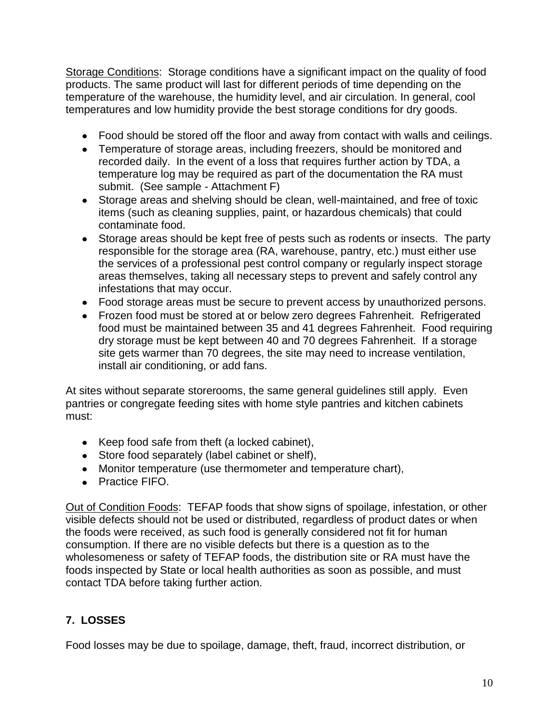Storage Conditions: Storage conditions have a significant impact on the quality of food products. The same product will last for different periods of time depending on the temperature of the warehouse, the humidity level, and air circulation. In general, cool temperatures and low humidity provide the best storage conditions for dry goods.

- Food should be stored off the floor and away from contact with walls and ceilings.
- Temperature of storage areas, including freezers, should be monitored and recorded daily. In the event of a loss that requires further action by TDA, a temperature log may be required as part of the documentation the RA must submit. (See sample - Attachment F)
- Storage areas and shelving should be clean, well-maintained, and free of toxic items (such as cleaning supplies, paint, or hazardous chemicals) that could contaminate food.
- Storage areas should be kept free of pests such as rodents or insects. The party responsible for the storage area (RA, warehouse, pantry, etc.) must either use the services of a professional pest control company or regularly inspect storage areas themselves, taking all necessary steps to prevent and safely control any infestations that may occur.
- Food storage areas must be secure to prevent access by unauthorized persons.
- Frozen food must be stored at or below zero degrees Fahrenheit. Refrigerated food must be maintained between 35 and 41 degrees Fahrenheit. Food requiring dry storage must be kept between 40 and 70 degrees Fahrenheit. If a storage site gets warmer than 70 degrees, the site may need to increase ventilation, install air conditioning, or add fans.

At sites without separate storerooms, the same general guidelines still apply. Even pantries or congregate feeding sites with home style pantries and kitchen cabinets must:

- Keep food safe from theft (a locked cabinet),
- Store food separately (label cabinet or shelf),
- Monitor temperature (use thermometer and temperature chart),
- Practice FIFO.

Out of Condition Foods: TEFAP foods that show signs of spoilage, infestation, or other visible defects should not be used or distributed, regardless of product dates or when the foods were received, as such food is generally considered not fit for human consumption. If there are no visible defects but there is a question as to the wholesomeness or safety of TEFAP foods, the distribution site or RA must have the foods inspected by State or local health authorities as soon as possible, and must contact TDA before taking further action.

# **7. LOSSES**

Food losses may be due to spoilage, damage, theft, fraud, incorrect distribution, or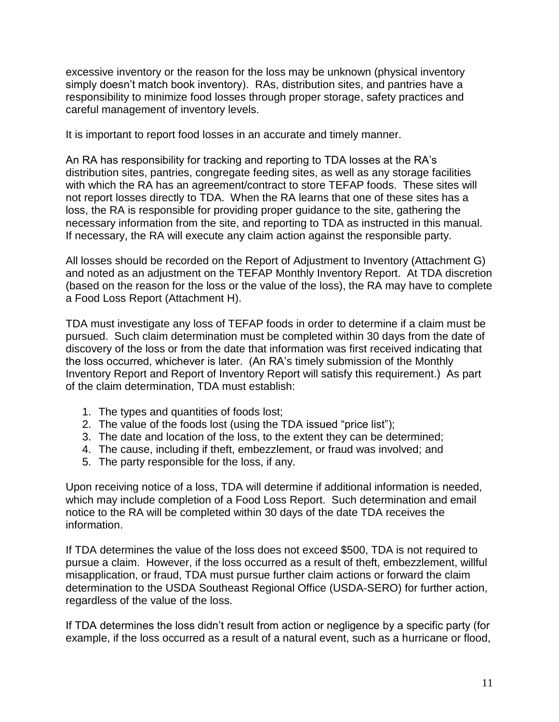excessive inventory or the reason for the loss may be unknown (physical inventory simply doesn't match book inventory). RAs, distribution sites, and pantries have a responsibility to minimize food losses through proper storage, safety practices and careful management of inventory levels.

It is important to report food losses in an accurate and timely manner.

An RA has responsibility for tracking and reporting to TDA losses at the RA's distribution sites, pantries, congregate feeding sites, as well as any storage facilities with which the RA has an agreement/contract to store TEFAP foods. These sites will not report losses directly to TDA. When the RA learns that one of these sites has a loss, the RA is responsible for providing proper guidance to the site, gathering the necessary information from the site, and reporting to TDA as instructed in this manual. If necessary, the RA will execute any claim action against the responsible party.

All losses should be recorded on the Report of Adjustment to Inventory (Attachment G) and noted as an adjustment on the TEFAP Monthly Inventory Report. At TDA discretion (based on the reason for the loss or the value of the loss), the RA may have to complete a Food Loss Report (Attachment H).

TDA must investigate any loss of TEFAP foods in order to determine if a claim must be pursued. Such claim determination must be completed within 30 days from the date of discovery of the loss or from the date that information was first received indicating that the loss occurred, whichever is later. (An RA's timely submission of the Monthly Inventory Report and Report of Inventory Report will satisfy this requirement.) As part of the claim determination, TDA must establish:

- 1. The types and quantities of foods lost;
- 2. The value of the foods lost (using the TDA issued "price list");
- 3. The date and location of the loss, to the extent they can be determined;
- 4. The cause, including if theft, embezzlement, or fraud was involved; and
- 5. The party responsible for the loss, if any.

Upon receiving notice of a loss, TDA will determine if additional information is needed, which may include completion of a Food Loss Report. Such determination and email notice to the RA will be completed within 30 days of the date TDA receives the information.

If TDA determines the value of the loss does not exceed \$500, TDA is not required to pursue a claim. However, if the loss occurred as a result of theft, embezzlement, willful misapplication, or fraud, TDA must pursue further claim actions or forward the claim determination to the USDA Southeast Regional Office (USDA-SERO) for further action, regardless of the value of the loss.

If TDA determines the loss didn't result from action or negligence by a specific party (for example, if the loss occurred as a result of a natural event, such as a hurricane or flood,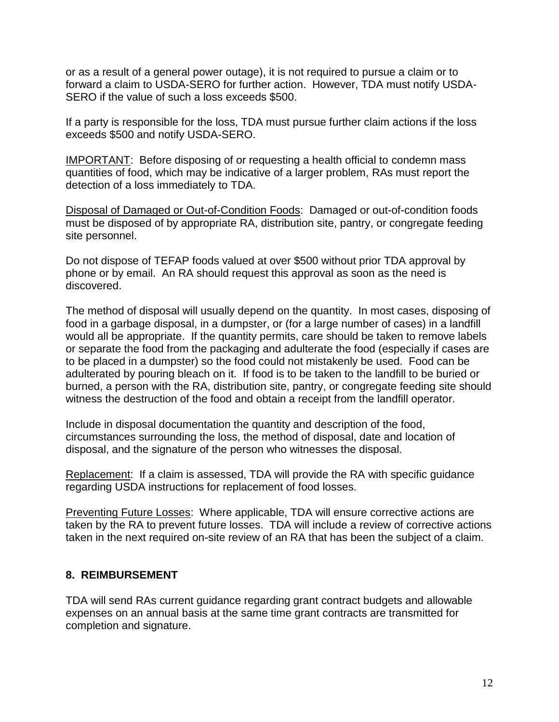or as a result of a general power outage), it is not required to pursue a claim or to forward a claim to USDA-SERO for further action. However, TDA must notify USDA-SERO if the value of such a loss exceeds \$500.

If a party is responsible for the loss, TDA must pursue further claim actions if the loss exceeds \$500 and notify USDA-SERO.

IMPORTANT: Before disposing of or requesting a health official to condemn mass quantities of food, which may be indicative of a larger problem, RAs must report the detection of a loss immediately to TDA.

Disposal of Damaged or Out-of-Condition Foods: Damaged or out-of-condition foods must be disposed of by appropriate RA, distribution site, pantry, or congregate feeding site personnel.

Do not dispose of TEFAP foods valued at over \$500 without prior TDA approval by phone or by email. An RA should request this approval as soon as the need is discovered.

The method of disposal will usually depend on the quantity. In most cases, disposing of food in a garbage disposal, in a dumpster, or (for a large number of cases) in a landfill would all be appropriate. If the quantity permits, care should be taken to remove labels or separate the food from the packaging and adulterate the food (especially if cases are to be placed in a dumpster) so the food could not mistakenly be used. Food can be adulterated by pouring bleach on it. If food is to be taken to the landfill to be buried or burned, a person with the RA, distribution site, pantry, or congregate feeding site should witness the destruction of the food and obtain a receipt from the landfill operator.

Include in disposal documentation the quantity and description of the food, circumstances surrounding the loss, the method of disposal, date and location of disposal, and the signature of the person who witnesses the disposal.

Replacement: If a claim is assessed, TDA will provide the RA with specific guidance regarding USDA instructions for replacement of food losses.

Preventing Future Losses: Where applicable, TDA will ensure corrective actions are taken by the RA to prevent future losses. TDA will include a review of corrective actions taken in the next required on-site review of an RA that has been the subject of a claim.

### **8. REIMBURSEMENT**

TDA will send RAs current guidance regarding grant contract budgets and allowable expenses on an annual basis at the same time grant contracts are transmitted for completion and signature.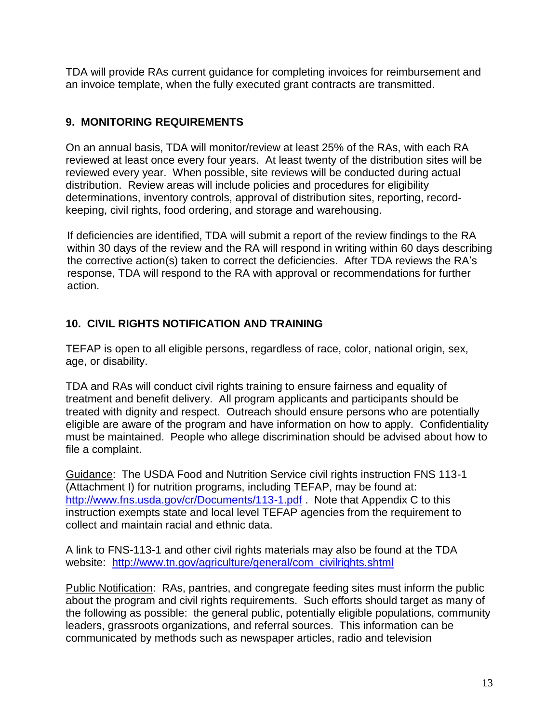TDA will provide RAs current guidance for completing invoices for reimbursement and an invoice template, when the fully executed grant contracts are transmitted.

### **9. MONITORING REQUIREMENTS**

On an annual basis, TDA will monitor/review at least 25% of the RAs, with each RA reviewed at least once every four years. At least twenty of the distribution sites will be reviewed every year. When possible, site reviews will be conducted during actual distribution. Review areas will include policies and procedures for eligibility determinations, inventory controls, approval of distribution sites, reporting, recordkeeping, civil rights, food ordering, and storage and warehousing.

If deficiencies are identified, TDA will submit a report of the review findings to the RA within 30 days of the review and the RA will respond in writing within 60 days describing the corrective action(s) taken to correct the deficiencies. After TDA reviews the RA's response, TDA will respond to the RA with approval or recommendations for further action.

# **10. CIVIL RIGHTS NOTIFICATION AND TRAINING**

TEFAP is open to all eligible persons, regardless of race, color, national origin, sex, age, or disability.

TDA and RAs will conduct civil rights training to ensure fairness and equality of treatment and benefit delivery. All program applicants and participants should be treated with dignity and respect. Outreach should ensure persons who are potentially eligible are aware of the program and have information on how to apply. Confidentiality must be maintained. People who allege discrimination should be advised about how to file a complaint.

Guidance: The USDA Food and Nutrition Service civil rights instruction FNS 113-1 (Attachment I) for nutrition programs, including TEFAP, may be found at: <http://www.fns.usda.gov/cr/Documents/113-1.pdf> . Note that Appendix C to this instruction exempts state and local level TEFAP agencies from the requirement to collect and maintain racial and ethnic data.

A link to FNS-113-1 and other civil rights materials may also be found at the TDA website: [http://www.tn.gov/agriculture/general/com\\_civilrights.shtml](http://www.tn.gov/agriculture/general/com_civilrights.shtml)

Public Notification: RAs, pantries, and congregate feeding sites must inform the public about the program and civil rights requirements. Such efforts should target as many of the following as possible: the general public, potentially eligible populations, community leaders, grassroots organizations, and referral sources. This information can be communicated by methods such as newspaper articles, radio and television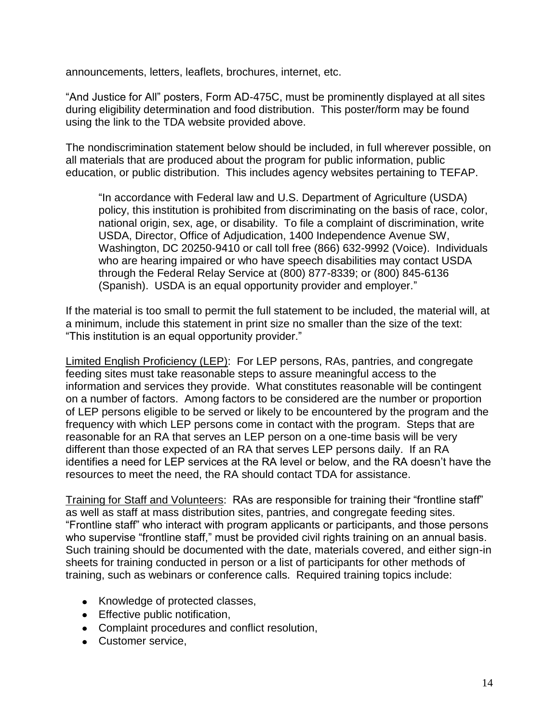announcements, letters, leaflets, brochures, internet, etc.

"And Justice for All" posters, Form AD-475C, must be prominently displayed at all sites during eligibility determination and food distribution. This poster/form may be found using the link to the TDA website provided above.

The nondiscrimination statement below should be included, in full wherever possible, on all materials that are produced about the program for public information, public education, or public distribution. This includes agency websites pertaining to TEFAP.

"In accordance with Federal law and U.S. Department of Agriculture (USDA) policy, this institution is prohibited from discriminating on the basis of race, color, national origin, sex, age, or disability. To file a complaint of discrimination, write USDA, Director, Office of Adjudication, 1400 Independence Avenue SW, Washington, DC 20250-9410 or call toll free (866) 632-9992 (Voice). Individuals who are hearing impaired or who have speech disabilities may contact USDA through the Federal Relay Service at (800) 877-8339; or (800) 845-6136 (Spanish). USDA is an equal opportunity provider and employer."

If the material is too small to permit the full statement to be included, the material will, at a minimum, include this statement in print size no smaller than the size of the text: "This institution is an equal opportunity provider."

Limited English Proficiency (LEP): For LEP persons, RAs, pantries, and congregate feeding sites must take reasonable steps to assure meaningful access to the information and services they provide. What constitutes reasonable will be contingent on a number of factors. Among factors to be considered are the number or proportion of LEP persons eligible to be served or likely to be encountered by the program and the frequency with which LEP persons come in contact with the program. Steps that are reasonable for an RA that serves an LEP person on a one-time basis will be very different than those expected of an RA that serves LEP persons daily. If an RA identifies a need for LEP services at the RA level or below, and the RA doesn't have the resources to meet the need, the RA should contact TDA for assistance.

Training for Staff and Volunteers: RAs are responsible for training their "frontline staff" as well as staff at mass distribution sites, pantries, and congregate feeding sites. "Frontline staff" who interact with program applicants or participants, and those persons who supervise "frontline staff," must be provided civil rights training on an annual basis. Such training should be documented with the date, materials covered, and either sign-in sheets for training conducted in person or a list of participants for other methods of training, such as webinars or conference calls. Required training topics include:

- Knowledge of protected classes,
- Effective public notification,
- Complaint procedures and conflict resolution,
- Customer service,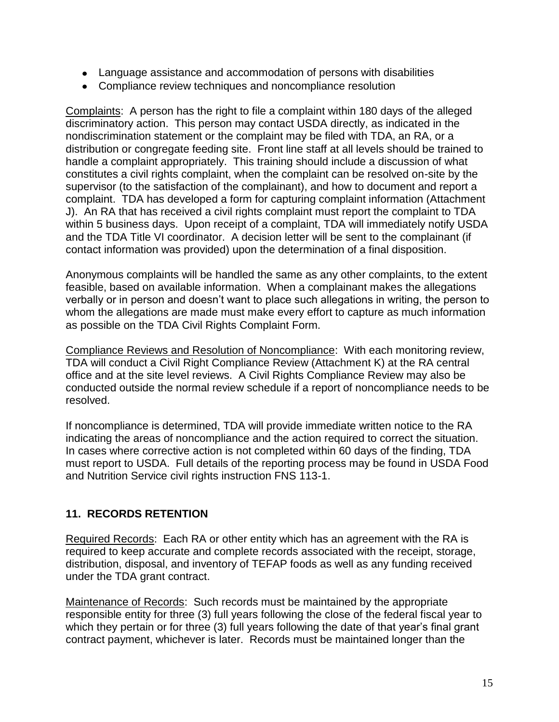- Language assistance and accommodation of persons with disabilities
- Compliance review techniques and noncompliance resolution

Complaints: A person has the right to file a complaint within 180 days of the alleged discriminatory action. This person may contact USDA directly, as indicated in the nondiscrimination statement or the complaint may be filed with TDA, an RA, or a distribution or congregate feeding site. Front line staff at all levels should be trained to handle a complaint appropriately. This training should include a discussion of what constitutes a civil rights complaint, when the complaint can be resolved on-site by the supervisor (to the satisfaction of the complainant), and how to document and report a complaint. TDA has developed a form for capturing complaint information (Attachment J). An RA that has received a civil rights complaint must report the complaint to TDA within 5 business days. Upon receipt of a complaint, TDA will immediately notify USDA and the TDA Title VI coordinator. A decision letter will be sent to the complainant (if contact information was provided) upon the determination of a final disposition.

Anonymous complaints will be handled the same as any other complaints, to the extent feasible, based on available information. When a complainant makes the allegations verbally or in person and doesn't want to place such allegations in writing, the person to whom the allegations are made must make every effort to capture as much information as possible on the TDA Civil Rights Complaint Form.

Compliance Reviews and Resolution of Noncompliance: With each monitoring review, TDA will conduct a Civil Right Compliance Review (Attachment K) at the RA central office and at the site level reviews. A Civil Rights Compliance Review may also be conducted outside the normal review schedule if a report of noncompliance needs to be resolved.

If noncompliance is determined, TDA will provide immediate written notice to the RA indicating the areas of noncompliance and the action required to correct the situation. In cases where corrective action is not completed within 60 days of the finding, TDA must report to USDA. Full details of the reporting process may be found in USDA Food and Nutrition Service civil rights instruction FNS 113-1.

# **11. RECORDS RETENTION**

Required Records: Each RA or other entity which has an agreement with the RA is required to keep accurate and complete records associated with the receipt, storage, distribution, disposal, and inventory of TEFAP foods as well as any funding received under the TDA grant contract.

Maintenance of Records: Such records must be maintained by the appropriate responsible entity for three (3) full years following the close of the federal fiscal year to which they pertain or for three (3) full years following the date of that year's final grant contract payment, whichever is later. Records must be maintained longer than the